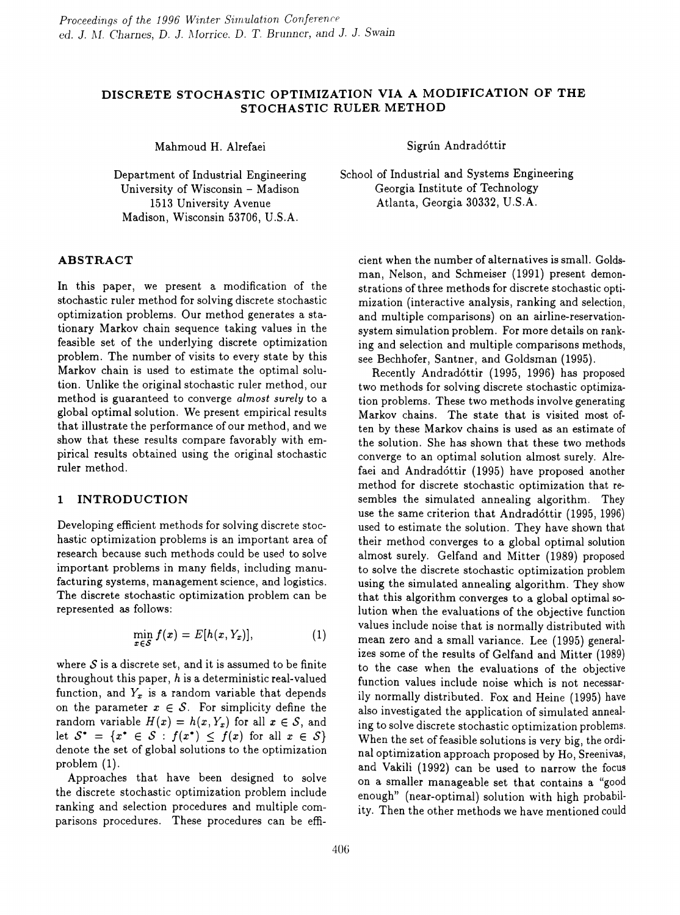# **DISCRETE STOCHASTIC OPTIMIZATION VIA A MODIFICATION OF THE STOCHASTIC RULER METHOD**

Department of Industrial Engineering University of Wisconsin - Madison 1513 University Avenue Madison, Wisconsin 53706, U.S.A.

## **ABSTRACT**

In this paper, we present a modification of the stochastic ruler method for solving discrete stochastic optimization problems. Our method generates a stationary Markov chain sequence taking values in the feasible set of the underlying discrete optimization problem. The number of visits to every state by this Markov chain is used to estimate the optimal solution. Unlike the original stochastic ruler method, our method is guaranteed to converge *almost surely* to a global optimal solution. We present empirical results that illustrate the performance of our method, and we show that these results compare favorably with empirical results obtained using the original stochastic ruler method.

## **1 INTRODUCTION**

Developing efficient methods for solving discrete stochastic optimization problems is an important area of research because such methods could be used to solve important problems in many fields, including manufacturing systems, management science, and logistics. The discrete stochastic optimization problem can be represented *as* follows:

$$
\min_{x \in S} f(x) = E[h(x, Y_x)], \qquad (1)
$$

where  $S$  is a discrete set, and it is assumed to be finite throughout this paper,  $h$  is a deterministic real-valued function, and  $Y_x$  is a random variable that depends on the parameter  $x \in S$ . For simplicity define the random variable  $H(x) = h(x, Y_x)$  for all  $x \in S$ , and let  $S^* = \{x^* \in S : f(x^*) \leq f(x) \text{ for all } x \in S\}$ denote the set of global solutions to the optimization problem (1).

Approaches that have been designed to solve the discrete stochastic optimization problem include ranking and selection procedures and multiple comparisons procedures. These procedures can be effi-

Mahmoud H. Alrefaei Sigrún Andradóttir

School of Industrial and Systems Engineering Georgia Institute of Technology Atlanta, Georgia 30332, U.S.A.

cient when the number of alternatives is small. Goldsman, Nelson, and Schmeiser (1991) present demonstrations of three methods for discrete stochastic optimization (interactive analysis, ranking and selection, and multiple comparisons) on an airline-reservationsystem simulation problem. For more details on ranking and selection and multiple comparisons methods, *see* Bechhofer, Santner, and Goldsman (1995).

Recently Andrad6ttir (1995, 1996) has proposed two methods for solving discrete stochastic optimization problems. These two methods involve generating Markov chains. The state that is visited most often by these Markov chains is used as an estimate of the solution. She has shown that these two methods converge to an optimal solution almost surely. Alrefaei and Andradóttir (1995) have proposed another method for discrete stochastic optimization that resembles the simulated annealing algorithm. They use the same criterion that Andradóttir (1995, 1996) used to estimate the solution. They have shown that their method converges to a global optimal solution almost surely. Gelfand and Mitter (1989) proposed to solve the discrete stochastic optimization problem using the simulated annealing algorithm. They show that this algorithm converges to a global optimal solution when the evaluations of the objective function values include noise that is normally distributed with mean zero and a small variance. Lee (1995) generalizes some of the results of Gelfand and Mitter (1989) to the case when the evaluations of the objective function values include noise which is not necessarily normally distributed. Fox and Heine (1995) have also investigated the application of simulated annealing to solve discrete stochastic optimization problems. When the set of feasible solutions is very big, the ordinal optimization approach proposed by Ho, Sreenivas, and Vakili (1992) can be used to narrow the focus on a smaller manageable set that contains a "good enough" (near-optimal) solution with high probability. Then the other methods we have mentioned could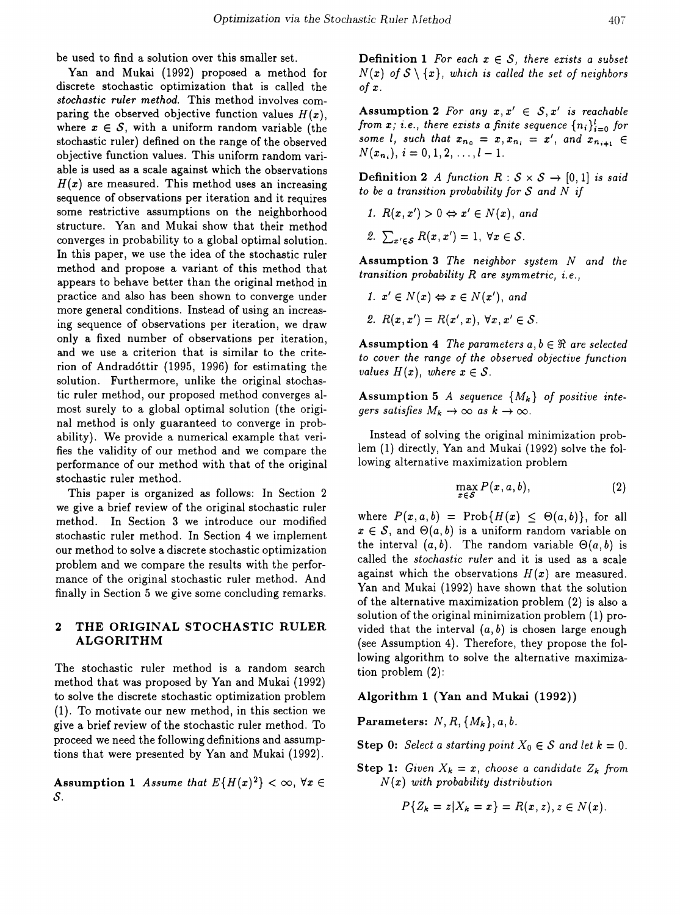be used to find a solution over this smaller set.

Van and Mukai (1992) proposed a method for discrete stochastic optimization that is called the *stochastic ruler method.* This method involves comparing the observed objective function values  $H(x)$ , where  $x \in \mathcal{S}$ , with a uniform random variable (the stochastic ruler) defined on the range of the observed objective function values. This uniform random variable is used as a scale against which the observations  $H(x)$  are measured. This method uses an increasing sequence of observations per iteration and it requires some restrictive assumptions on the neighborhood structure. Van and Mukai show that their method converges in probability to a global optimal solution. In this paper, we use the idea of the stochastic ruler method and propose a variant of this method that appears to behave better than the original method in practice and also has been shown to converge under more general conditions. Instead of using an increasing sequence of observations per iteration, we draw only a fixed number of observations per iteration, and we use a criterion that is similar to the criterion of Andradóttir (1995, 1996) for estimating the solution. Furthermore, unlike the original stochastic ruler method, our proposed method converges almost surely to a global optimal solution (the original method is only guaranteed to converge in probability). We provide a numerical example that verifies the validity of our method and we compare the performance of our method with that of the original stochastic ruler method.

This paper is organized as follows: In Section 2 we give a brief review of the original stochastic ruler method. In Section 3 we introduce our modified stochastic ruler method. In Section 4 we implement our method to solve a discrete stochastic optimization problem and we compare the results with the performance of the original stochastic ruler method. And finally in Section 5 we give some concluding remarks.

## 2 THE ORIGINAL STOCHASTIC RULER ALGORITHM

The stochastic ruler method is a random search method that was proposed by Van and Mukai (1992) to solve the discrete stochastic optimization problem (1). To motivate our new method, in this section we give a brief review of the stochastic ruler method. To proceed we need the following definitions and assumptions that were presented by Van and Mukai (1992).

Assumption 1 *Assume that*  $E\{H(x)^2\} < \infty$ ,  $\forall x \in$ *S.*

**Definition 1** For each  $x \in S$ , there exists a subset  $N(x)$  *of*  $S \setminus \{x\}$ , *which is called the set of neighbors o/x.*

Assumption 2 *For* any  $x, x' \in S, x'$  *is reachable from*  $x$ ; *i.e.*, *there exists* a *finite sequence*  $\{n_i\}_{i=0}^l$  *for some l*, *such that*  $x_{n_0} = x, x_{n_i} = x'$ , and  $x_{n_{i+1}} \in$  $N(x_{n_i}), i = 0, 1, 2, \ldots, l-1.$ 

**Definition 2** A function  $R : S \times S \rightarrow [0, 1]$  is said *to be* a *transition probability for S* and N *if* 

- *1.*  $R(x, x') > 0 \Leftrightarrow x' \in N(x)$ , and
- 2.  $\sum_{x' \in \mathcal{S}} R(x, x') = 1, \ \forall x \in \mathcal{S}.$

Assumption 3 *The neighbor system N and the transition probability R are symmetric, i. e.,*

- *1.*  $x' \in N(x) \Leftrightarrow x \in N(x')$ , and
- *2.*  $R(x, x') = R(x', x), \forall x, x' \in S$ .

Assumption 4 The parameters  $a, b \in \Re$  are selected *to cover the range of the observed objective function values*  $H(x)$ *, where*  $x \in S$ *.* 

Assumption 5 *A* sequence  $\{M_k\}$  of positive inte*gers satisfies*  $M_k \to \infty$  *as*  $k \to \infty$ .

Instead of solving the original minimization problem (1) directly, Van and Mukai (1992) solve the following alternative maximization problem

$$
\max_{x \in S} P(x, a, b), \tag{2}
$$

where  $P(x, a, b) = \text{Prob}\{H(x) \leq \Theta(a, b)\}\$ , for all  $x \in \mathcal{S}$ , and  $\Theta(a, b)$  is a uniform random variable on the interval  $(a, b)$ . The random variable  $\Theta(a, b)$  is called the *stochastic ruler* and it is used as a scale against which the observations  $H(x)$  are measured. Van and Mukai (1992) have shown that the solution of the alternative maximization problem (2) is also a solution of the original minimization problem (1) provided that the interval  $(a, b)$  is chosen large enough (see Assumption 4). Therefore, they propose the following algorithm to solve the alternative maximization problem (2):

#### Algorithm 1 (Yan and Mukai (1992))

Parameters:  $N, R, \{M_k\}, a, b$ .

**Step 0:** *Select* a *starting point*  $X_0 \in S$  *and let*  $k = 0$ *.* 

Step 1: *Given*  $X_k = x$ , *choose* a *candidate*  $Z_k$  *from N (x) with probability distribution*

$$
P\{Z_k=z|X_k=x\}=R(x,z), z\in N(x).
$$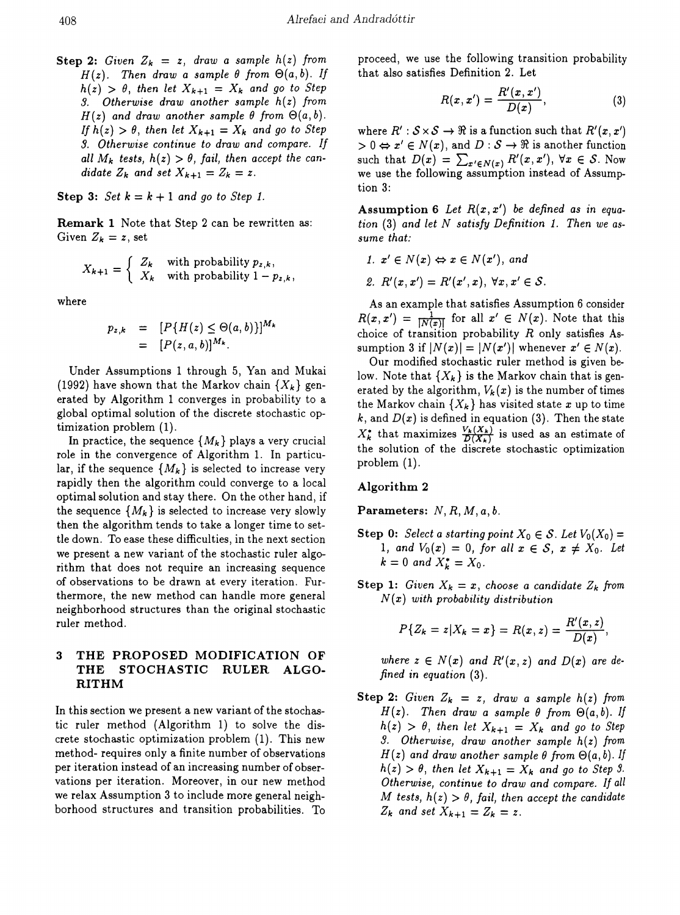**Step 2:** Given  $Z_k = z$ , draw a sample  $h(z)$  from  $H(z)$ . Then draw a sample  $\theta$  from  $\Theta(a, b)$ . If  $h(z) > \theta$ , *then let*  $X_{k+1} = X_k$  *and go to Step* S. *Otherwise draw another sample h(z) from*  $H(z)$  *and draw another sample*  $\theta$  *from*  $\Theta(a, b)$ . *If*  $h(z) > \theta$ , *then let*  $X_{k+1} = X_k$  *and go to Step 3. Otherwise continue to draw and compare. If all*  $M_k$  *tests,*  $h(z) > \theta$ *, fail, then accept the candidate*  $Z_k$  *and set*  $X_{k+1} = Z_k = z$ .

**Step 3:**  $Set\ k = k + 1$  and go to Step 1.

Remark 1 Note that Step 2 can be rewritten as: Given  $Z_k = z$ , set

$$
X_{k+1} = \begin{cases} Z_k & \text{with probability } p_{z,k}, \\ X_k & \text{with probability } 1 - p_{z,k}, \end{cases}
$$

where

$$
p_{z,k} = [P\{H(z) \leq \Theta(a,b)\}]^{M_k}
$$
  
= [P(z, a, b)]^{M\_k}.

Under Assumptions 1 through 5, Yan and Mukai (1992) have shown that the Markov chain  $\{X_k\}$  generated by Algorithm 1 converges in probability to a global optimal solution of the discrete stochastic optimization problem (1).

In practice, the sequence  $\{M_k\}$  plays a very crucial role in the convergence of Algorithm 1. In particular, if the sequence  $\{M_k\}$  is selected to increase very rapidly then the algorithm could converge to a local optimal solution and stay there. On the other hand, if the sequence  $\{M_k\}$  is selected to increase very slowly then the algorithm tends to take a longer time to settle down. To ease these difficulties, in the next section we present a new variant of the stochastic ruler algorithm that does not require an increasing sequence of observations to be drawn at every iteration. Furthermore, the new method can handle more general neighborhood structures than the original stochastic ruler method.

# 3 THE PROPOSED MODIFICATION OF THE STOCHASTIC RULER ALGO-RITHM

In this section we present a new variant of the stochastic ruler method (Algorithm 1) to solve the discrete stochastic optimization problem (1). This new method- requires only a finite number of observations per iteration instead of an increasing number of observations per iteration. Moreover, in our new method we relax Assumption 3 to include more general neighborhood structures and transition probabilities. To proceed, we use the following transition probability that also satisfies Definition 2. Let

$$
R(x,x')=\frac{R'(x,x')}{D(x)},\qquad \qquad (3)
$$

where  $R' : S \times S \rightarrow \Re$  is a function such that  $R'(x, x')$  $> 0 \Leftrightarrow x' \in N(x)$ , and  $D : S \to \Re$  is another function such that  $D(x) = \sum_{x' \in N(x)} R'(x, x')$ ,  $\forall x \in S$ . Now we use the following assumption instead of Assumption 3:

Assumption 6 Let  $R(x, x')$  be defined as in equa*tion* (3) *and let* N *satisfy Definition* 1. *Then we assume that:*

- *1.*  $x' \in N(x) \Leftrightarrow x \in N(x')$ , and
- 2.  $R'(x, x') = R'(x', x), \; \forall x, x' \in S.$

As an example that satisfies Assumption 6 consider  $R(x, x') = \frac{1}{|N(x)|}$  for all  $x' \in N(x)$ . Note that this choice of transition probability *R* only satisfies Assumption 3 if  $|N(x)| = |N(x')|$  whenever  $x' \in N(x)$ .

Our modified stochastic ruler method is given below. Note that  ${X_k}$  is the Markov chain that is generated by the algorithm,  $V_k(x)$  is the number of times the Markov chain  $\{X_k\}$  has visited state x up to time  $k$ , and  $D(x)$  is defined in equation (3). Then the state  $X_k^*$  that maximizes  $\frac{V_k(X_k)}{D(X_k)}$  is used as an estimate of the solution of the discrete stochastic optimization problem (1).

## Algorithm 2

Parameters: *N, R, M,* a, *b.*

- **Step 0:** *Select a starting point*  $X_0 \in S$ . Let  $V_0(X_0) =$ 1, and  $V_0(x) = 0$ , for all  $x \in S$ ,  $x \neq X_0$ . Let  $k = 0$  *and*  $X_k^* = X_0$ .
- Step 1: *Given*  $X_k = x$ , *choose* a *candidate*  $Z_k$  *from N (x) with probability distribution*

$$
P\{Z_k = z | X_k = x\} = R(x, z) = \frac{R'(x, z)}{D(x)},
$$

*where*  $z \in N(x)$  *and*  $R'(x, z)$  *and*  $D(x)$  *are defined in equation* (3).

Step 2: *Given*  $Z_k = z$ , *draw* a sample  $h(z)$  from  $H(z)$ . Then *draw* a sample  $\theta$  from  $\Theta(a, b)$ . If  $h(z) > \theta$ , *then let*  $X_{k+1} = X_k$  *and go to Step 3. Otherwise, draw another sample h(z) from*  $H(z)$  and draw another sample  $\theta$  from  $\Theta(a, b)$ . If  $h(z) > \theta$ , *then let*  $X_{k+1} = X_k$  *and go to Step 9. Otherwise, continue to draw and compare. If all M tests,*  $h(z) > \theta$ *, fail, then accept the candidate*  $Z_k$  *and set*  $X_{k+1} = Z_k = z$ .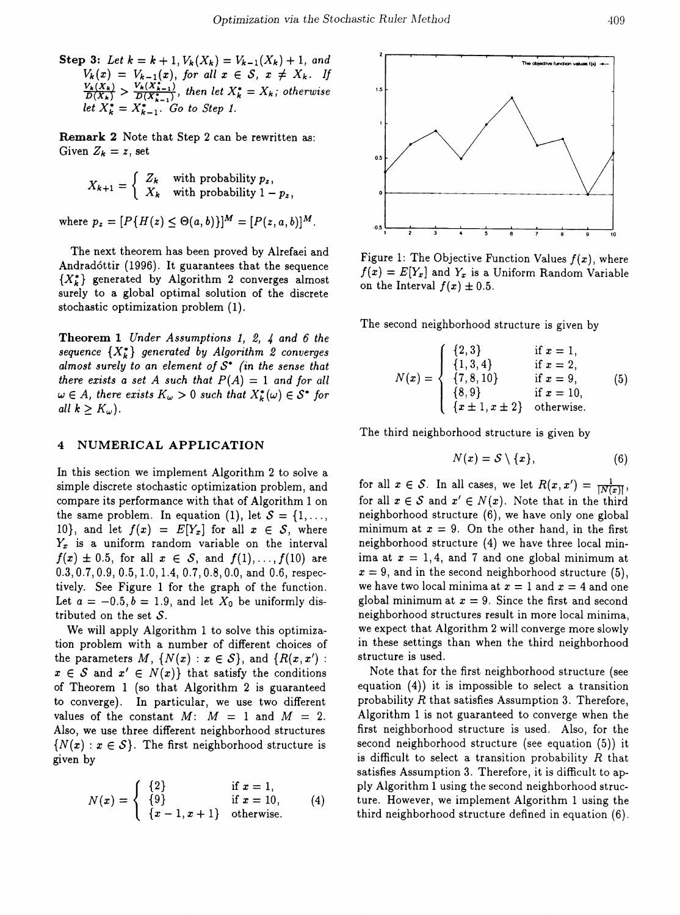Step 3: Let  $k = k + 1$ ,  $V_k(X_k) = V_{k-1}(X_k) + 1$ , and  $V_k(x) = V_{k-1}(x)$ , for all  $x \in S$ ,  $x \neq X_k$ . If<br> $\frac{V_k(X_k)}{D(X_k)} > \frac{V_k(X_{k-1})}{D(X_{k-1}^*)}$ , then let  $X_k^* = X_k$ ; otherwise let  $X_k^* = X_{k-1}^*$  Go to Step 1.

Remark 2 Note that Step 2 can be rewritten as: Given  $Z_k = z$ , set

$$
X_{k+1} = \begin{cases} Z_k & \text{with probability } p_z, \\ X_k & \text{with probability } 1 - p_z, \end{cases}
$$

where  $p_z = [P\{H(z) \leq \Theta(a, b)\}]^M = [P(z, a, b)]^M$ .

The next theorem has been proved by Alrefaei and Andrad6ttir (1996). It guarantees that the sequence *{XZ}* generated by Algorithm 2 converges almost surely to a global optimal solution of the discrete stochastic optimization problem (1).

Theorem 1 *Under Assumptions* 1, 2, 4 *and* 6 *the*  $sequence \{X_k^*\}$  generated by Algorithm 2 converges *almost surely to* an *element of S· (in the sense that there exists* a *set* A *such that*  $P(A) = 1$  *and for all*  $\omega \in A$ , there exists  $K_{\omega} > 0$  such that  $X_{k}^{*}(\omega) \in S^{*}$  for *all*  $k \geq K_{\omega}$ .

#### 4 NUMERICAL APPLICATION

In this section we implement Algorithm 2 to solve a simple discrete stochastic optimization problem, and compare its performance with that of Algorithm 1 on the same problem. In equation (1), let  $S = \{1, \ldots,$ 10}, and let  $f(x) = E[Y_x]$  for all  $x \in S$ , where Y*<sup>x</sup>* is a uniform random variable on the interval  $f(x) \pm 0.5$ , for all  $x \in S$ , and  $f(1), \ldots, f(10)$  are 0.3, 0.7, 0.9,0.5,1.0,1.4,0.7, 0.8, 0.0, and 0.6, respectively. See Figure 1 for the graph of the function. Let  $a = -0.5$ ,  $b = 1.9$ , and let  $X_0$  be uniformly distributed on the set *S.*

We will apply Algorithm 1 to solve this optimization problem with a number of different choices of the parameters  $M$ ,  $\{N(x) : x \in S\}$ , and  $\{R(x, x') :$  $x \in S$  and  $x' \in N(x)$  that satisfy the conditions of Theorem 1 (so that Algorithm 2 is guaranteed to converge). In particular, we use two different values of the constant  $M: M = 1$  and  $M = 2$ . Also, we use three different neighborhood structures  ${N(x): x \in S}$ . The first neighborhood structure is given by

$$
N(x) = \begin{cases} \{2\} & \text{if } x = 1, \\ \{9\} & \text{if } x = 10, \\ \{x - 1, x + 1\} & \text{otherwise.} \end{cases}
$$
 (4)



Figure 1: The Objective Function Values  $f(x)$ , where  $f(x) = E[Y_x]$  and  $Y_x$  is a Uniform Random Variable on the Interval  $f(x) \pm 0.5$ .

The second neighborhood structure is given by

$$
N(x) = \begin{cases} \{2,3\} & \text{if } x = 1, \\ \{1,3,4\} & \text{if } x = 2, \\ \{7,8,10\} & \text{if } x = 9, \\ \{8,9\} & \text{if } x = 10, \\ \{x \pm 1, x \pm 2\} & \text{otherwise.} \end{cases}
$$
(5)

The third neighborhood structure is given by

$$
N(x) = S \setminus \{x\},\tag{6}
$$

for all  $x \in S$ . In all cases, we let  $R(x, x') = \frac{1}{|N(x)|}$ , for all  $x \in S$  and  $x' \in N(x)$ . Note that in the third neighborhood structure (6), we have only one global minimum at  $x = 9$ . On the other hand, in the first neighborhood structure (4) we have three local minima at  $x = 1, 4$ , and 7 and one global minimum at  $x = 9$ , and in the second neighborhood structure (5), we have two local minima at  $x = 1$  and  $x = 4$  and one global minimum at  $x = 9$ . Since the first and second neighborhood structures result in more local minima, we expect that Algorithm 2 will converge more slowly in these settings than when the third neighborhood structure is used.

Note that for the first neighborhood structure (see equation (4)) it is impossible to select a transition probability *R* that satisfies Assumption 3. Therefore, Algorithm 1 is not guaranteed to converge when the first neighborhood structure is used. Also, for the second neighborhood structure (see equation (5)) it is difficult to select a transition probability *R* that satisfies Assumption 3. Therefore, it is difficult to apply Algorithm 1 using the second neighborhood structure. However, we implement Algorithm 1 using the third neighborhood structure defined in equation (6). {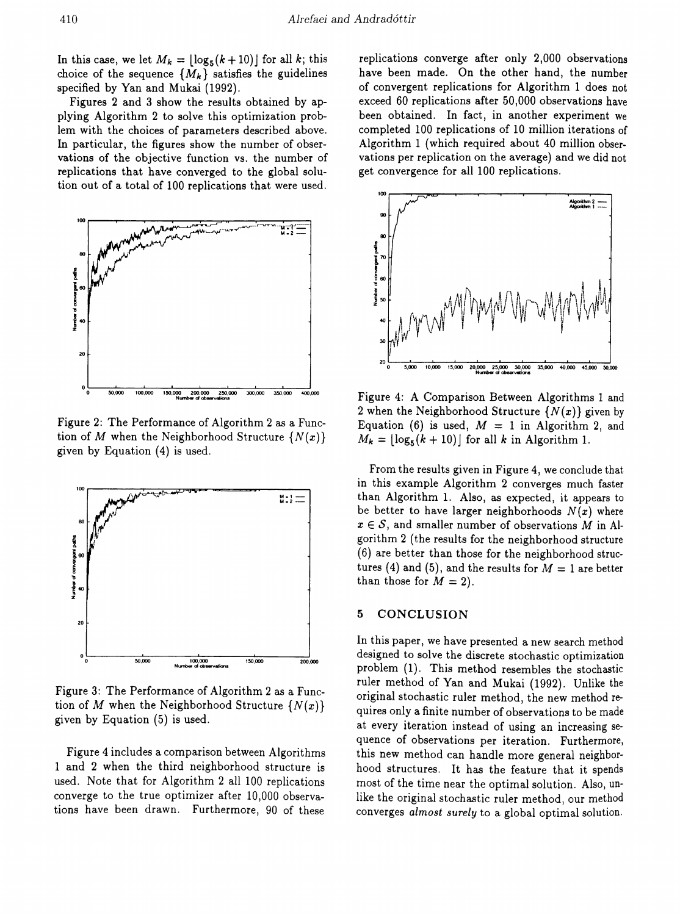In this case, we let  $M_k = \lfloor \log_5(k+10) \rfloor$  for all k; this choice of the sequence  $\{M_k\}$  satisfies the guidelines specified by Yan and Mukai (1992).

Figures 2 and 3 show the results obtained by applying Algorithm 2 to solve this optimization problem with the choices of parameters described above. In particular, the figures show the number of observations of the objective function vs. the number of replications that have converged to the global solution out of a total of 100 replications that were used.



Figure 2: The Performance of Algorithm 2 as a Function of M when the Neighborhood Structure  $\{N(x)\}$ given by Equation (4) is used.



Figure 3: The Performance of Algorithm 2 as a Function of M when the Neighborhood Structure  $\{N(x)\}$ given by Equation (5) is used.

Figure 4 includes a comparison between Algorithms 1 and 2 when the third neighborhood structure is used. Note that for Algorithm 2 all 100 replications converge to the true optimizer after 10,000 observations have been drawn. Furthermore, 90 of these

replications converge after only 2,000 observations have been made. On the other hand, the number of convergent replications for Algorithm 1 does not exceed 60 replications after 50,000 observations have been obtained. In fact, in another experiment we completed 100 replications of 10 million iterations of Algorithm 1 (which required about 40 million observations per replication on the average) and we did not get convergence for all 100 replications.



Figure 4: A Comparison Between Algorithms 1 and 2 when the Neighborhood Structure  $\{N(x)\}\$  given by Equation (6) is used,  $M = 1$  in Algorithm 2, and  $M_k = \lfloor \log_5(k+10) \rfloor$  for all k in Algorithm 1.

From the results given in Figure 4, we conclude that in this example Algorithm 2 converges much faster than Algorithm 1. Also, as expected, it appears to be better to have larger neighborhoods  $N(x)$  where  $x \in S$ , and smaller number of observations M in Algorithm 2 (the results for the neighborhood structure (6) are better than those for the neighborhood structures (4) and (5), and the results for  $M = 1$  are better than those for  $M = 2$ ).

#### 5 CONCLUSION

In this paper, we have presented a new search method designed to solve the discrete stochastic optimization problem (1). This method resembles the stochastic ruler method of Yan and Mukai (1992). Unlike the original stochastic ruler method, the new method requires only a finite number of observations to be made at every iteration instead of using an increasing sequence of observations per iteration. Furthermore, this new method can handle more general neighborhood structures. It has the feature that it spends most of the time near the optimal solution. Also, unlike the original stochastic ruler method, our method converges almost surely to a global optimal solution.